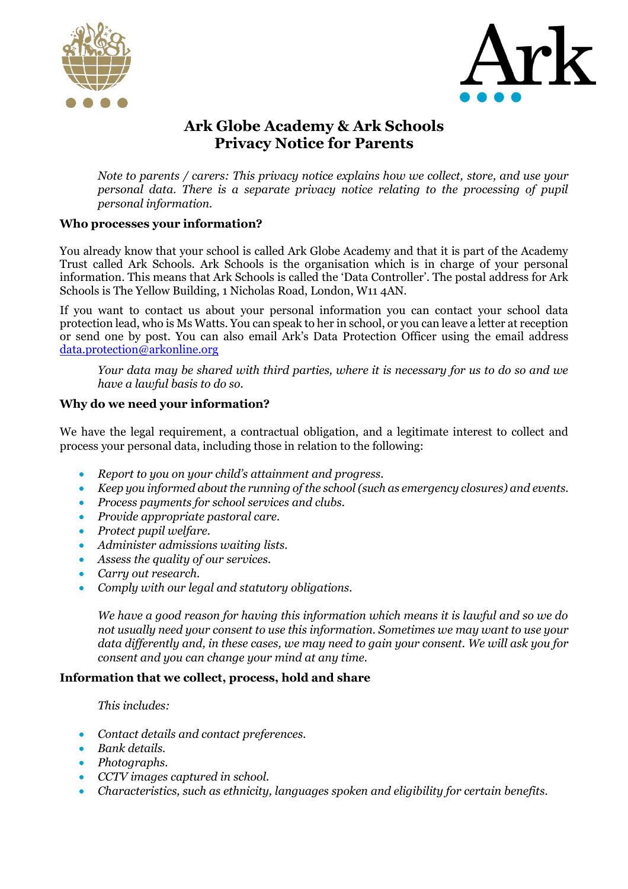



# **Ark Globe Academy & Ark Schools Privacy Notice for Parents**

*Note to parents / carers: This privacy notice explains how we collect, store, and use your personal data. There is a separate privacy notice relating to the processing of pupil personal information.*

# **Who processes your information?**

You already know that your school is called Ark Globe Academy and that it is part of the Academy Trust called Ark Schools. Ark Schools is the organisation which is in charge of your personal information. This means that Ark Schools is called the 'Data Controller'. The postal address for Ark Schools is The Yellow Building, 1 Nicholas Road, London, W11 4AN.

If you want to contact us about your personal information you can contact your school data protection lead, who is Ms Watts. You can speak to her in school, or you can leave a letter at reception or send one by post. You can also email Ark's Data Protection Officer using the email address [data.protection@arkonline.org](mailto:data.protection@arkonline.org)

*Your data may be shared with third parties, where it is necessary for us to do so and we have a lawful basis to do so.*

# **Why do we need your information?**

We have the legal requirement, a contractual obligation, and a legitimate interest to collect and process your personal data, including those in relation to the following:

- *Report to you on your child's attainment and progress.*
- *Keep you informed about the running of the school (such as emergency closures) and events.*
- *Process payments for school services and clubs.*
- *Provide appropriate pastoral care.*
- *Protect pupil welfare.*
- *Administer admissions waiting lists.*
- *Assess the quality of our services.*
- *Carry out research.*
- *Comply with our legal and statutory obligations.*

*We have a good reason for having this information which means it is lawful and so we do not usually need your consent to use this information. Sometimes we may want to use your data differently and, in these cases, we may need to gain your consent. We will ask you for consent and you can change your mind at any time.*

# **Information that we collect, process, hold and share**

# *This includes:*

- *Contact details and contact preferences.*
- *Bank details.*
- *Photographs.*
- *CCTV images captured in school.*
- *Characteristics, such as ethnicity, languages spoken and eligibility for certain benefits.*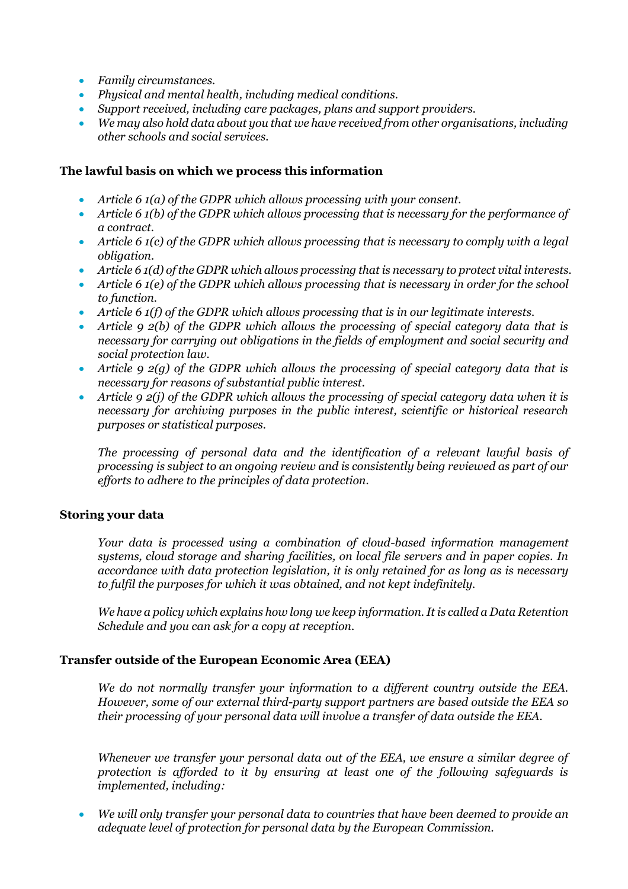- *Family circumstances.*
- *Physical and mental health, including medical conditions.*
- *Support received, including care packages, plans and support providers.*
- *We may also hold data about you that we have received from other organisations, including other schools and social services.*

#### **The lawful basis on which we process this information**

- *Article 6 1(a) of the GDPR which allows processing with your consent.*
- *Article 6 1(b) of the GDPR which allows processing that is necessary for the performance of a contract.*
- *Article 6 1(c) of the GDPR which allows processing that is necessary to comply with a legal obligation.*
- *Article 6 1(d) of the GDPR which allows processing that is necessary to protect vital interests.*
- *Article 6 1(e) of the GDPR which allows processing that is necessary in order for the school to function.*
- *Article 6 1(f) of the GDPR which allows processing that is in our legitimate interests.*
- *Article 9 2(b) of the GDPR which allows the processing of special category data that is necessary for carrying out obligations in the fields of employment and social security and social protection law.*
- *Article 9 2(g) of the GDPR which allows the processing of special category data that is necessary for reasons of substantial public interest.*
- *Article 9 2(j) of the GDPR which allows the processing of special category data when it is necessary for archiving purposes in the public interest, scientific or historical research purposes or statistical purposes.*

*The processing of personal data and the identification of a relevant lawful basis of processing is subject to an ongoing review and is consistently being reviewed as part of our efforts to adhere to the principles of data protection.*

# **Storing your data**

*Your data is processed using a combination of cloud-based information management systems, cloud storage and sharing facilities, on local file servers and in paper copies. In accordance with data protection legislation, it is only retained for as long as is necessary to fulfil the purposes for which it was obtained, and not kept indefinitely.* 

*We have a policy which explains how long we keep information. It is called a Data Retention Schedule and you can ask for a copy at reception.*

# **Transfer outside of the European Economic Area (EEA)**

*We do not normally transfer your information to a different country outside the EEA. However, some of our external third-party support partners are based outside the EEA so their processing of your personal data will involve a transfer of data outside the EEA.*

*Whenever we transfer your personal data out of the EEA, we ensure a similar degree of protection is afforded to it by ensuring at least one of the following safeguards is implemented, including:*

• *We will only transfer your personal data to countries that have been deemed to provide an adequate level of protection for personal data by the European Commission.*